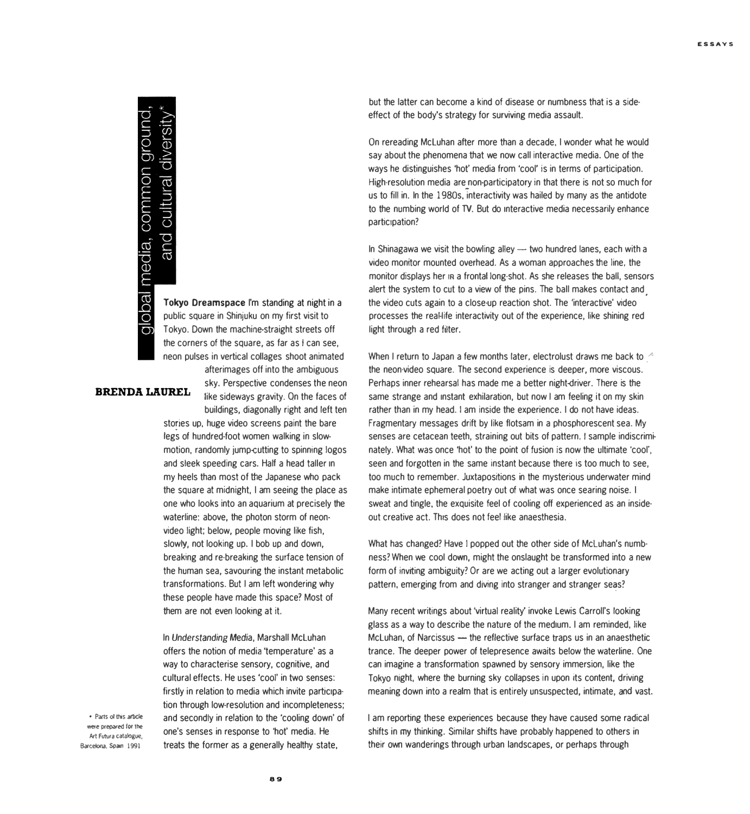## obal media, common ground

and cultural diversity

**Tokyo Dreamspace** l'm standing at night in a public square in Shinjuku on my first visit to Tokyo. Down the machine-straight streets off the corners of the square, as far as I can see. neon pulses in vertical collages shoot animated afterimages off into the ambiguous

sky. Perspective condenses the neon  $BRENDA$  LAUREL like sideways gravity. On the faces of buildings, diagonally right and left ten stories up, huge video screens paint the bare legs of hundred-foot women walking in slowmotion, randomly jump-cutting to spinning logos and sleek speeding cars. Half a head taller in my heels thao most of the Japanese who pack the square at midnight. I am seeing the place as

> one who looks into an aquarium at precisely the waterline: above, the photon storm of neonvideo light; below, people moving like fish, slowly, not looking up. 1 bob up and down, breaking and re-breaking the surface tension of the human sea, savouring the instant metabolic transformations. But I am left wondering why these people have made this space? Most of them are not even looking at it.

> In *Understanding* Media, Marshall Mcluhan offers the notion of media 'temperature' as a way to characterise sensory, cognitive, and cultural effects. He uses 'cool' in two senses: firstly in relation to media which invite participation through low-resolution and incompleteness; and secondly in relation to the 'cooling down' of one's senses in response to 'hot' media. He treats the former as a generally healthy state,

• Parts of this article were prepared for the Barcelona, Spain 1991 **Art Futura catalogue.** 

but the latter can become a kind of disease or numbness that is a sideeffect of the body's strategy for surviving media assault.

On rereading McLuhan after more than a decade, I wonder what he would say about the phenomena that we now call interactive media. One of the ways he distinguishes 'hot' media from 'cool' is in terms of participation. High-resolution media are non-participatory in that there is not so much for us to fill in. In the l 980s, interactivity was hailed by many as the antidole to the numbing world of TV. But do interactive media necessarily enhance participation?

In Shinagawa we visit the bowling alley  $-$  two hundred lanes, each with a video monitor mounted overhead. As a woman approaches the line, the monitor displays her in a frontal long-shot. As she releases the ball, sensors alert the system to cut to a view of the pins. The ball makes contact and the video cuis again to a close-up reaction shot. The 'interactive' video processes the real-lite inleractivity out of the experience, like shining red light through a red filter.

When I return to Japan a few months later, electrolust draws me back to  $\sim$ the neon-video square. The second experience is deeper, more viscous. Perhaps inner rehearsal has made me a better night-driver. There is the same strange and instant exhilaration, but now I am feeling it on my skin rather than in my head. 1 am inside the experience. 1 do not have ideas. Fragmentary messages drift by like flotsam in a phosphorescent sea. My senses are cetacean teeth, straining out bits of pattern. I sample indiscriminately. What was once 'hot' to the point of fusion is now the ultimate 'cool', seen and forgotten in the same instant because there is too much to see, too much to remember. Juxtapositions in the mysterious underwater mind make intimate ephemeral poetry out of what was once searing noise. 1 sweat and tingle, the exquisite feel of cooling off experienced as an insideout creative act. This does not feel like anaesthesia.

What has changed? Have I popped out the other side of McLuhan's numbness? When we cool down, might the onslaught be transformed into a new form of inviting ambiguity? Or are we acting out a larger evolutionary pattern, emerging from and diving into stranger and stranger seas?

Many recent writings about 'virtual reality' invoke Lewis Carroll's looking glass as a way to describe the nature of the medium. I am reminded, like McLuhan, of Narcissus - the reflective surface traps us in an anaesthetic trance. The deeper power of telepresence awaits below the waterline. One can imagine a transformation spawned by sensory immersion, like the Tokyo night, where the burning sky collapses in upon its content, driving meaning down into a realm that is entirely unsuspected, inlimate, *and* vast.

1 am reporting these experiences because they have caused sorne radical shifts in *my* thinking. Similar shifts have probably happened to others in their own wanderings through urban landscapes, or perhaps through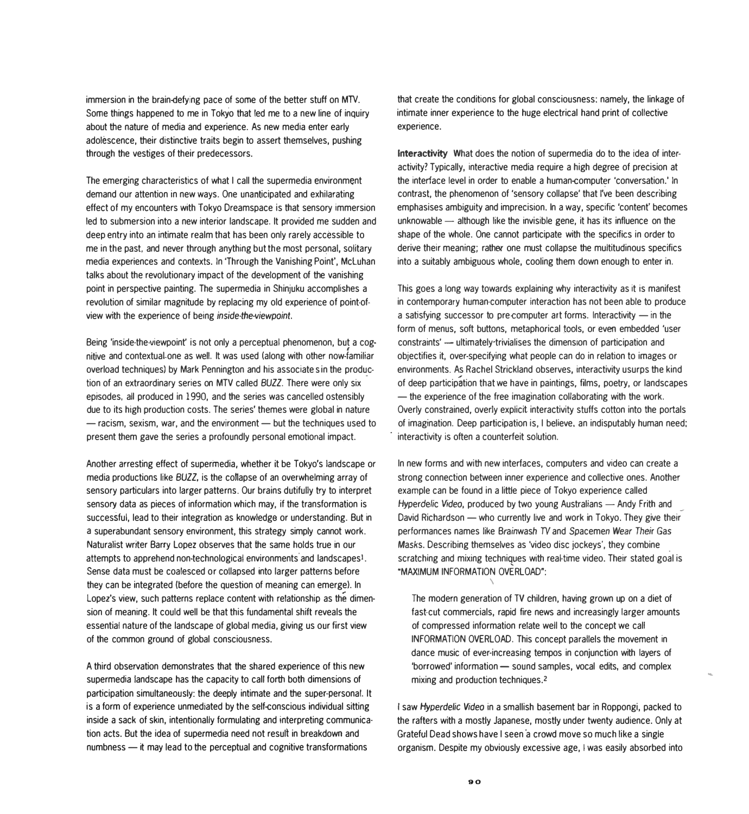immersion in the brain-defying pace of sorne of the better stuff on MTV. Sorne things happened to me in Tokyo that led me to a new line of inquiry about the nature of media and experience. As new media enter early adolescence, their distinctive traits begin to assert themselves, pushing through the vestiges of their predecessors.

The emerging characteristics of what I call the supermedia environment demand our attention in new ways. One unanticipated and exhilarating effect of my encounters with Tokyo Dreamspace is that sensory immersion led to submersion into a new interior landscape. It provided me sudden and deep entry into an intimate realm that has been only rarely accéssible to me in the past, and never through anything but the most personal, solitary media experiences and contexts. In 'Through the Vanishing Point', Mcluhan talks about the revolutionary impact of the development of the vanishing point in perspective painting. The supermedia in Shinjuku accomplishes a revolution of similar magnitude by replacing my old experience of point-ofview with the experience of being *inside-the-viewpoint*.

Being 'inside-the-viewpoint' is not only a perceptual phenomenon, but a cognitive and contextuaLone as well. lt was used (along with other now-Íamiliar overload techniques) by Mark Pennington and his associates in the production of an extraordinary series on MTV called *BUZZ.* There were only six episodes, ali produced in 1990, and the series was cancelled ostensibly due to its high production costs. The series' themes were global in nature  $-$  racism, sexism, war, and the environment  $-$  but the techniques used to present them gave the series a profoundly personal emotional impact.

Another arresting effect of supermedia, whether it be Tokyo's landscape or media productions like *BUZZ*, is the collapse of an overwhelming array of sensory particulars into larger patterns. Our brains dutifully try to interpret sensory data as pieces of information which may, if the transformation is successful, lead to their integration as knowledge or understanding. But in a superabundant sensory environment, this strategy simply cannot work. Naturalist writer Barry Lopez observes that the same holds true in our attempts to apprehend non-technological environments'and landscapesi. Sense data must be coalesced or collapsed into larger patterns before they can be integrated (before the question of meaning can emerge). In Lopez's view, such patterns replace content with relationship as the dimension of meaning. lt could well be that this fundamental shift reveals the essential nature of the landscape of global media, giving us our first view of the common ground of global consciousness.

A third observation demonstrates that the shared experience of this new supermedia landscape has the capacity to call forth both dimensions of participation simultaneously: the deeply intimate and the super-personal. lt is a form of experience unmediated by the self-conscious individual sitting inside a sack of skin, intentionally formulating and interpreting communication acts. But the idea of supermedia need not result in breakdown and numbness - it may lead to the perceptual and cognitive transformations

that create 1he conditions for global consciousness: namely, the linkage of intirnate inner experience to the huge electrical hand print of collective experience.

**lnteractivity** What does the notion of supermedia do to the idea of interactivity? Typically, interactive media require a high degree of precision at the interface level in order to enable a human-computer 'conversation.' In contrast, the phenomenon of 'sensory collapse' that I've been describing emphasises ambiguity and imprecision. In a way, specific 'content' becomes unknowable  $-$  although like the invisible gene, it has its influence on the shape of the whole. One cannot participate with the specifics in order to derive their meaning; rather one must collapse the multitudinous specifics into a suitably ambíguous whole, cooling them down enough to enter in.

This goes a long way towards explaining why interactivity as it is manifest in contemporary human-computer interaction has not been able to produce a satisfying successor to pre-computer art forms. Interactivity  $-$  in the form of menus, soft buttons, metaphorical tools, or even embedded 'user constraints' - ultimately-trivialises the dimension of participation and objectifies it, over-specifying what people can do in relation to images or environments. As Rachel Strickland observes, interactivity usurps the kind of deep participation that we have in paintings, films, poetry, or landscapes - the experience of the free imagination collaborating with the work. Overly constrained, overly explicit interactivity stuffs cotton into the portals of imagination. Deep participation is, I believe, an indisputably human need; interactivity is often a counterfeit solution.

In new forrns and with new interfaces, computers and video can create a strong connection between inner experience and collective ones. Another example can be found in a little piece of Tokyo experience called Hyperdelic Video, produced by two young Australians - Andy Frith and David Richardson - who currently live and work in Tokyo. They give their perforrnances names like Brainwash TV and Spacemen *Wear* Their Gas Masks. Describing thernselves as 'vídeo disc jockeys', they combine . scratching and mixing techniques with real-time video. Their stated goal is •MAXIMUM INFORMATION OVERLOAD":

The modern generation of TV children, having grown up on a diet of fast-cut commercials, rapid fire news and increasingly larger amounts of compressed information relate well to the concept we cal! INFORMATION OVERLOAD. Thís concept parallels the movement in dance music of ever-increasing tempos in conjunction with layers of 'borrowed' information - sound samples, vocal edits, and complex mixing and production techniques.<sup>2</sup>

i..

1 saw *Hyperdelic Video* in a smallish basement bar in Roppongi, packed to the rafters with a mostly Japanese, mostly under twenty audience. Only at Grateful Dead shows have I seen a crowd move so much like a single organisrn. Despite my obviously excessive age, 1 was easily absorbed into

 $\setminus$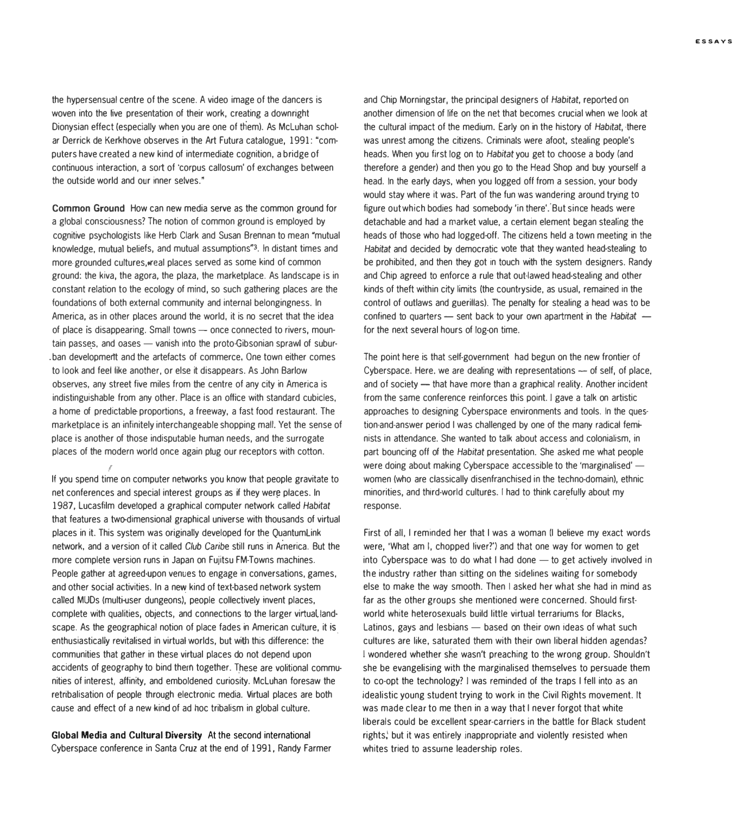the hypersensual centre of the scene. A video image of the dancers is woven into the live presentation of their work, creating a downright Dionysian effect (especially when you are one of them). As McLuhan scholar Derrick de Kerkhove observes in the Art Futura catalogue, 1991: "computers have created a new kind of intermediate cognition, a bridge of continuous inleraction, a sort of 'corpus callosum' of exchanges between the outside world and our inner selves."

**Common Ground** How can new media serve as the common ground for a global consciousness? The notion of common ground is employed by cognitive psychologists like Herb Clark and Susan Brennan to mean "mutual knowledge, mutual beliefs, and mutual assumptions'3. In distant times and more-grounded cultures, weal places served as some kind of common ground: the kiva, the agora, the plaza, the marketplace. As landscape is in constant relation to the ecology of mind, so such gathering places are the foundations of both externa! community and interna! belongingness. In Arnerica, as in other places around the world, it is no secret that the idea of place is disappearing. Small towns  $-$  once connected to rivers, mountain passes, and oases - vanish into the proto-Gibsonian sprawl of subur-.ban developmertt and the artefacts of commerce, One town either comes to look and feel like another, or else it disappears. As John Barlow observes, any street five miles from the centre of any city in America is indistinguishable from any other. Place is an office with standard cubicles, a home of predictable-proportions, a freeway, a fast food restaurant. The marketplace is an infinitely interchangeable shopping mall. Yet the sense of place is another of those indisputable human needs, and the surrogate places of the modern world once again plug our receptors with cotton.

lf you spend time on computer networks you know that people gravitate to net conferences and special interest groups as if they were places. In 1987, Lucasfilm developed a graphical compuler network called Habitat that features a two-dimensional graphical universe witb thousands of virtual places in it. This system was originally developed for the Quantumlink network, and a version of it called *Club Caribe* still runs in America. But the more complete version runs in Japan on Fujitsu FM-Towns machines. People gather at agreed-upon venues to engage in conversations, games, and other social activities. In a new kind of text-based network system called MUDs (multi-user dungeons), people collectively invent places, complete with qualities, objects, and connections to the larger virtual landscape. As the geographical notion of place fades in American culture, it is enthusiastically revitalised in virtual worlds, but with this difference: the communities that gather in these virtual places do not depend upon accidents of geography to bind them together. These are volitional communities of interest, affinity, and emboldened curiosity. McLuhan foresaw the retribalisation of people through electronic media. Virtual places are both cause and effect of a new kind of ad hoc tribalism in global culture.

 $\ell_{-}$ 

**Global Media and Cultural Diversity** At the second international Cyberspace conference in Santa Cruz at the end of 1991, Randy Farmer and Chip Morningstar, the principal designers of *Habitat,* reported on another dimension of lite on the net that becomes crucial when we look at the cultural impact of the medium. Early on in the history of *Habitat,* ·there was unrest among the citizens. Criminals were afoot, stealing people's heads. When you first log on to *Habitat* you gel to choose a body (and therefore a gender) and then you go to the Head Shop and buy yourself a head. In the early days, when you logged off from a session. your body would stay where it was. Part of the fun was wandering around trying to figure out which bodies had somebody 'in there'. But since heads were detachable and had a market value, a certain element began stealing the heads of those who had logged-off. The citizens held a town meeting in the *Habitat* and decided by democratic vote that they wanted head-stealing to be prohibited, and then they got in touch with the system designers. Randy and Chip agreed to enforce a rule that out-lawed head-stealing and other kinds of theft within city limits (the countryside, as usual, remained in the control of outlaws and guerillas). The penalty for stealing a head was to be confined to quarters - sent back to your own apartment in the *Habitat* for the next several hours of log-on time.

The point here is that self-government had begun on the new frontier *of* Cyberspace. Here, we are dealing with representations  $-$  of self, of place. and of society - that have more than a graphical reality. Another incident from the same conference reinforces this point. 1 gave a talk on artistic approaches to designing Cyberspace environments and tools. In the question-and-answer period I was challenged by one of the many radical feminists in attendance. She wanted to talk about access and colonialism, in part bouncing off of the *Habitat* presentation. She asked me what people were doing about making Cyberspace accessible to the 'marginalised' women (who are classically disenfranchised in the techno-domain), ethnic minorities, and third-world cultures. I had to think carefully about my response.

First of all, I reminded her that I was a woman (I believe my exact words were, 'What am I, chopped liver?') and that one way for women to get into Cyberspace was to do what I had done  $-$  to get actively involved in the industry rather than sitting on the sidelines waiting for somebody else to make the way smooth. Then I asked her what she had in mind as far as the other groups she mentioned were concerned. Should firstworld white heterosexuals build little virtual terrariums for Blacks, Latinos, gays and lesbians  $-$  based on their own ideas of what such cultures are like, saturated them with their own liberal hidden agendas? 1 wondered whether she wasn't preaching to the wrong group. Shouldn't she be evangelising with the marginalised themselves to persuade them to co-opt the technology? 1 was reminded of the traps I tell into as an idealistic young student trying to work in the Civil Rights movement. lt was made clear to me then in a way that I never forgot that white liberals could be excellent spear-carriers in the battle for Black student rights,<sup>1</sup> but it was entirely inappropriate and violently resisted when whites tried to assuine leadership roles.